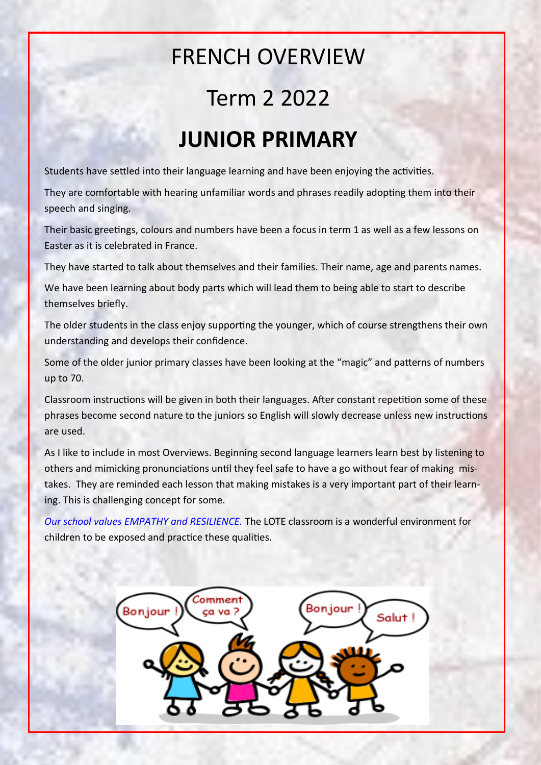## FRENCH OVERVIEW

## Term 2 2022

## **JUNIOR PRIMARY**

Students have settled into their language learning and have been enjoying the activities.

They are comfortable with hearing unfamiliar words and phrases readily adopting them into their speech and singing.

Their basic greetings, colours and numbers have been a focus in term 1 as well as a few lessons on Easter as it is celebrated in France.

They have started to talk about themselves and their families. Their name, age and parents names.

We have been learning about body parts which will lead them to being able to start to describe themselves briefly.

The older students in the class enjoy supporting the younger, which of course strengthens their own understanding and develops their confidence.

Some of the older junior primary classes have been looking at the "magic" and patterns of numbers up to 70.

Classroom instructions will be given in both their languages. After constant repetition some of these phrases become second nature to the juniors so English will slowly decrease unless new instructions are used.

As I like to include in most Overviews. Beginning second language learners learn best by listening to others and mimicking pronunciations until they feel safe to have a go without fear of making mistakes. They are reminded each lesson that making mistakes is a very important part of their learning. This is challenging concept for some.

*Our school values EMPATHY and RESILIENCE.* The LOTE classroom is a wonderful environment for children to be exposed and practice these qualities.